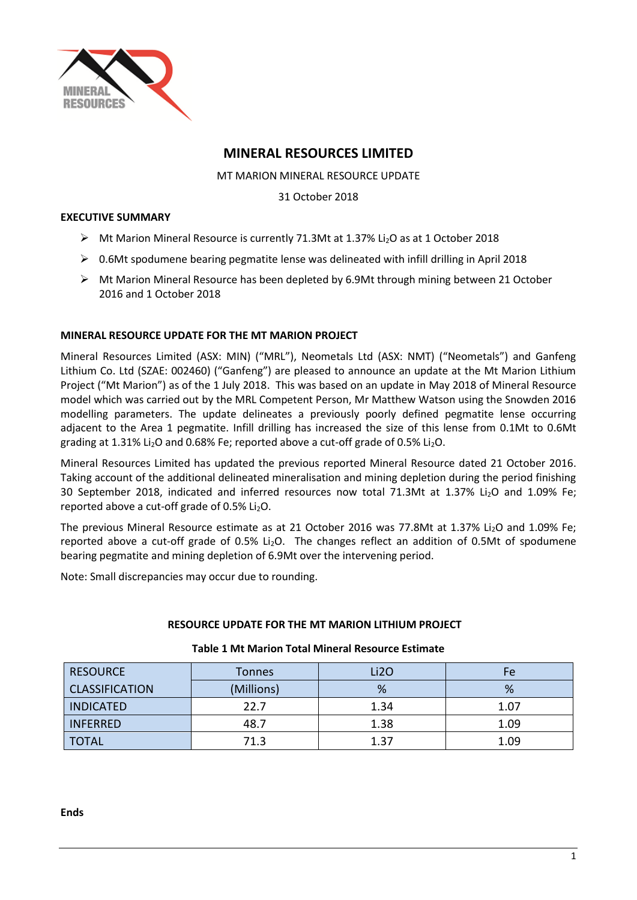

## **MINERAL RESOURCES LIMITED**

MT MARION MINERAL RESOURCE UPDATE

31 October 2018

#### **EXECUTIVE SUMMARY**

- $\triangleright$  Mt Marion Mineral Resource is currently 71.3Mt at 1.37% Li<sub>2</sub>O as at 1 October 2018
- $\triangleright$  0.6Mt spodumene bearing pegmatite lense was delineated with infill drilling in April 2018
- $\triangleright$  Mt Marion Mineral Resource has been depleted by 6.9Mt through mining between 21 October 2016 and 1 October 2018

#### **MINERAL RESOURCE UPDATE FOR THE MT MARION PROJECT**

Mineral Resources Limited (ASX: MIN) ("MRL"), Neometals Ltd (ASX: NMT) ("Neometals") and Ganfeng Lithium Co. Ltd (SZAE: 002460) ("Ganfeng") are pleased to announce an update at the Mt Marion Lithium Project ("Mt Marion") as of the 1 July 2018. This was based on an update in May 2018 of Mineral Resource model which was carried out by the MRL Competent Person, Mr Matthew Watson using the Snowden 2016 modelling parameters. The update delineates a previously poorly defined pegmatite lense occurring adjacent to the Area 1 pegmatite. Infill drilling has increased the size of this lense from 0.1Mt to 0.6Mt grading at 1.31% Li<sub>2</sub>O and 0.68% Fe; reported above a cut-off grade of 0.5% Li<sub>2</sub>O.

Mineral Resources Limited has updated the previous reported Mineral Resource dated 21 October 2016. Taking account of the additional delineated mineralisation and mining depletion during the period finishing 30 September 2018, indicated and inferred resources now total 71.3Mt at 1.37% Li<sub>2</sub>O and 1.09% Fe; reported above a cut-off grade of  $0.5\%$  Li<sub>2</sub>O.

The previous Mineral Resource estimate as at 21 October 2016 was 77.8Mt at 1.37% Li<sub>2</sub>O and 1.09% Fe; reported above a cut-off grade of 0.5% Li<sub>2</sub>O. The changes reflect an addition of 0.5Mt of spodumene bearing pegmatite and mining depletion of 6.9Mt over the intervening period.

Note: Small discrepancies may occur due to rounding.

#### **RESOURCE UPDATE FOR THE MT MARION LITHIUM PROJECT**

| <b>RESOURCE</b>       | Tonnes     | Li2O | Fel  |
|-----------------------|------------|------|------|
| <b>CLASSIFICATION</b> | (Millions) | %    | %    |
| <b>INDICATED</b>      | 22.7       | 1.34 | 1.07 |
| <b>INFERRED</b>       | 48.7       | 1.38 | 1.09 |
| <b>TOTAL</b>          | 71.3       | 1.37 | 1.09 |

#### **Table 1 Mt Marion Total Mineral Resource Estimate**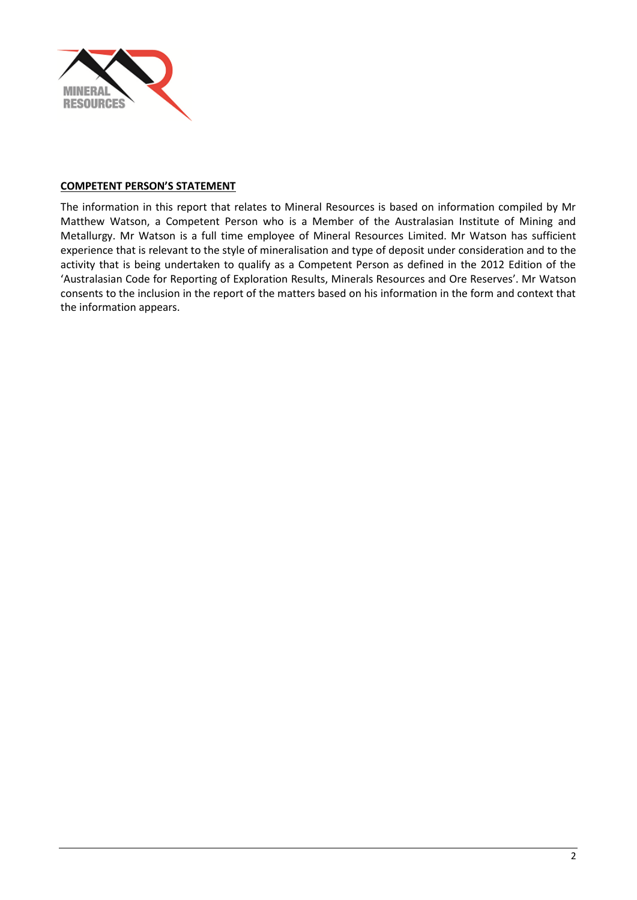

#### **COMPETENT PERSON'S STATEMENT**

The information in this report that relates to Mineral Resources is based on information compiled by Mr Matthew Watson, a Competent Person who is a Member of the Australasian Institute of Mining and Metallurgy. Mr Watson is a full time employee of Mineral Resources Limited. Mr Watson has sufficient experience that is relevant to the style of mineralisation and type of deposit under consideration and to the activity that is being undertaken to qualify as a Competent Person as defined in the 2012 Edition of the 'Australasian Code for Reporting of Exploration Results, Minerals Resources and Ore Reserves'. Mr Watson consents to the inclusion in the report of the matters based on his information in the form and context that the information appears.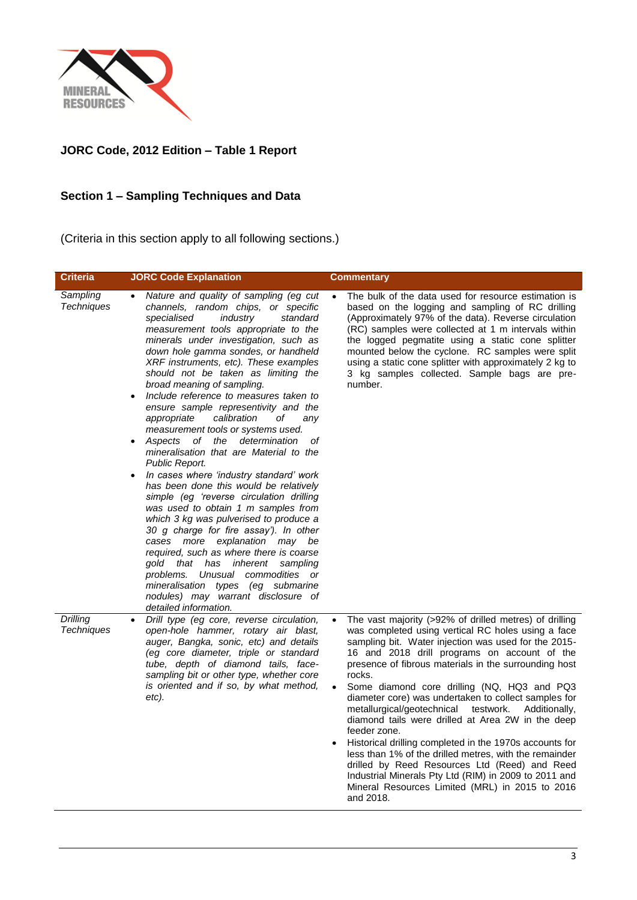

## **JORC Code, 2012 Edition – Table 1 Report**

### **Section 1 – Sampling Techniques and Data**

(Criteria in this section apply to all following sections.)

| <b>Criteria</b>               | <b>JORC Code Explanation</b>                                                                                                                                                                                                                                                                                                                                                                                                                                                                                                                                                                                                                                                                                                                                                                                                                                                                                                                                                                                                                                                                                                                                                                                      | <b>Commentary</b>                                                                                                                                                                                                                                                                                                                                                                                                                                                                                                                                                                                                                                                                                                                                                                                                                           |
|-------------------------------|-------------------------------------------------------------------------------------------------------------------------------------------------------------------------------------------------------------------------------------------------------------------------------------------------------------------------------------------------------------------------------------------------------------------------------------------------------------------------------------------------------------------------------------------------------------------------------------------------------------------------------------------------------------------------------------------------------------------------------------------------------------------------------------------------------------------------------------------------------------------------------------------------------------------------------------------------------------------------------------------------------------------------------------------------------------------------------------------------------------------------------------------------------------------------------------------------------------------|---------------------------------------------------------------------------------------------------------------------------------------------------------------------------------------------------------------------------------------------------------------------------------------------------------------------------------------------------------------------------------------------------------------------------------------------------------------------------------------------------------------------------------------------------------------------------------------------------------------------------------------------------------------------------------------------------------------------------------------------------------------------------------------------------------------------------------------------|
| Sampling<br><b>Techniques</b> | Nature and quality of sampling (eg cut<br>$\bullet$<br>channels, random chips, or specific<br>specialised<br>industry<br>standard<br>measurement tools appropriate to the<br>minerals under investigation, such as<br>down hole gamma sondes, or handheld<br>XRF instruments, etc). These examples<br>should not be taken as limiting the<br>broad meaning of sampling.<br>Include reference to measures taken to<br>$\bullet$<br>ensure sample representivity and the<br>appropriate<br>calibration<br>оf<br>any<br>measurement tools or systems used.<br>determination of<br>Aspects<br>of<br>the<br>$\bullet$<br>mineralisation that are Material to the<br>Public Report.<br>In cases where 'industry standard' work<br>$\bullet$<br>has been done this would be relatively<br>simple (eg 'reverse circulation drilling<br>was used to obtain 1 m samples from<br>which 3 kg was pulverised to produce a<br>30 g charge for fire assay'). In other<br>cases more explanation may be<br>required, such as where there is coarse<br>gold that has inherent sampling<br>Unusual commodities or<br>problems.<br>mineralisation types (eg submarine<br>nodules) may warrant disclosure of<br>detailed information. | The bulk of the data used for resource estimation is<br>$\bullet$<br>based on the logging and sampling of RC drilling<br>(Approximately 97% of the data). Reverse circulation<br>(RC) samples were collected at 1 m intervals within<br>the logged pegmatite using a static cone splitter<br>mounted below the cyclone. RC samples were split<br>using a static cone splitter with approximately 2 kg to<br>3 kg samples collected. Sample bags are pre-<br>number.                                                                                                                                                                                                                                                                                                                                                                         |
| Drilling<br><b>Techniques</b> | Drill type (eg core, reverse circulation,<br>$\bullet$<br>open-hole hammer, rotary air blast,<br>auger, Bangka, sonic, etc) and details<br>(eg core diameter, triple or standard<br>tube, depth of diamond tails, face-<br>sampling bit or other type, whether core<br>is oriented and if so, by what method,<br>etc).                                                                                                                                                                                                                                                                                                                                                                                                                                                                                                                                                                                                                                                                                                                                                                                                                                                                                            | The vast majority (>92% of drilled metres) of drilling<br>$\bullet$<br>was completed using vertical RC holes using a face<br>sampling bit. Water injection was used for the 2015-<br>16 and 2018 drill programs on account of the<br>presence of fibrous materials in the surrounding host<br>rocks.<br>Some diamond core drilling (NQ, HQ3 and PQ3<br>diameter core) was undertaken to collect samples for<br>metallurgical/geotechnical<br>testwork.<br>Additionally,<br>diamond tails were drilled at Area 2W in the deep<br>feeder zone.<br>Historical drilling completed in the 1970s accounts for<br>less than 1% of the drilled metres, with the remainder<br>drilled by Reed Resources Ltd (Reed) and Reed<br>Industrial Minerals Pty Ltd (RIM) in 2009 to 2011 and<br>Mineral Resources Limited (MRL) in 2015 to 2016<br>and 2018. |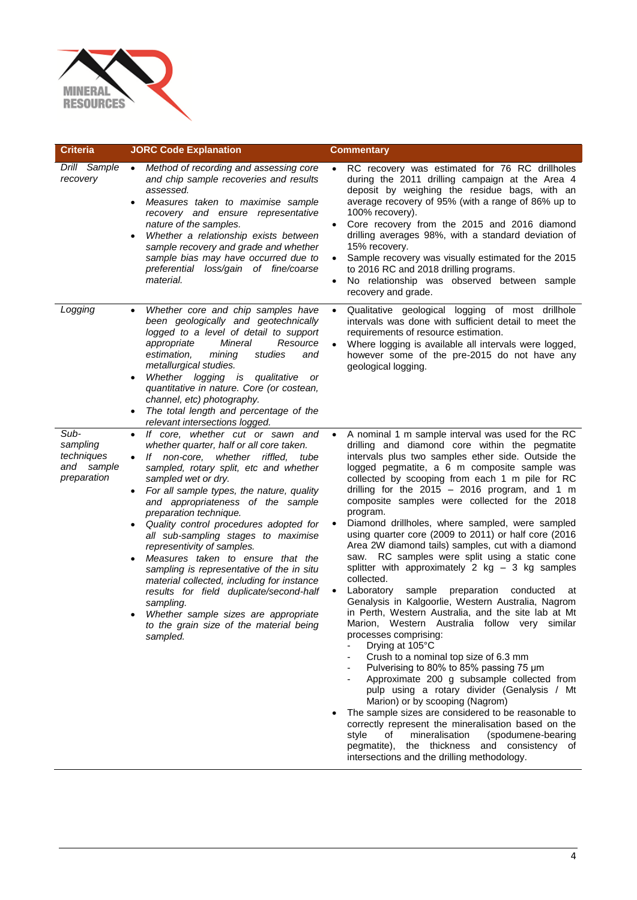

| <b>Criteria</b>                                             | <b>JORC Code Explanation</b>                                                                                                                                                                                                                                                                                                                                                                                                                                                                                                                                                                                                                                                                                             | <b>Commentary</b>                                                                                                                                                                                                                                                                                                                                                                                                                                                                                                                                                                                                                                                                                                                                                                                                                                                                                                                                                                                                                                                                                                                                                                                                                                                                                                                                                                                                                                                         |
|-------------------------------------------------------------|--------------------------------------------------------------------------------------------------------------------------------------------------------------------------------------------------------------------------------------------------------------------------------------------------------------------------------------------------------------------------------------------------------------------------------------------------------------------------------------------------------------------------------------------------------------------------------------------------------------------------------------------------------------------------------------------------------------------------|---------------------------------------------------------------------------------------------------------------------------------------------------------------------------------------------------------------------------------------------------------------------------------------------------------------------------------------------------------------------------------------------------------------------------------------------------------------------------------------------------------------------------------------------------------------------------------------------------------------------------------------------------------------------------------------------------------------------------------------------------------------------------------------------------------------------------------------------------------------------------------------------------------------------------------------------------------------------------------------------------------------------------------------------------------------------------------------------------------------------------------------------------------------------------------------------------------------------------------------------------------------------------------------------------------------------------------------------------------------------------------------------------------------------------------------------------------------------------|
| Drill Sample<br>recovery                                    | Method of recording and assessing core<br>$\bullet$<br>and chip sample recoveries and results<br>assessed.<br>Measures taken to maximise sample<br>recovery and ensure representative<br>nature of the samples.<br>Whether a relationship exists between<br>sample recovery and grade and whether<br>sample bias may have occurred due to<br>preferential loss/gain of fine/coarse<br>material.                                                                                                                                                                                                                                                                                                                          | RC recovery was estimated for 76 RC drillholes<br>$\bullet$<br>during the 2011 drilling campaign at the Area 4<br>deposit by weighing the residue bags, with an<br>average recovery of 95% (with a range of 86% up to<br>100% recovery).<br>Core recovery from the 2015 and 2016 diamond<br>$\bullet$<br>drilling averages 98%, with a standard deviation of<br>15% recovery.<br>Sample recovery was visually estimated for the 2015<br>to 2016 RC and 2018 drilling programs.<br>No relationship was observed between sample<br>٠<br>recovery and grade.                                                                                                                                                                                                                                                                                                                                                                                                                                                                                                                                                                                                                                                                                                                                                                                                                                                                                                                 |
| Logging                                                     | Whether core and chip samples have<br>$\bullet$<br>been geologically and geotechnically<br>logged to a level of detail to support<br>Mineral<br>Resource<br>appropriate<br>estimation,<br>mining<br>studies<br>and<br>metallurgical studies.<br>Whether logging is qualitative or<br>quantitative in nature. Core (or costean,<br>channel, etc) photography.<br>The total length and percentage of the<br>relevant intersections logged.                                                                                                                                                                                                                                                                                 | Qualitative geological logging of most drillhole<br>$\bullet$<br>intervals was done with sufficient detail to meet the<br>requirements of resource estimation.<br>Where logging is available all intervals were logged,<br>$\bullet$<br>however some of the pre-2015 do not have any<br>geological logging.                                                                                                                                                                                                                                                                                                                                                                                                                                                                                                                                                                                                                                                                                                                                                                                                                                                                                                                                                                                                                                                                                                                                                               |
| Sub-<br>sampling<br>techniques<br>and sample<br>preparation | If core, whether cut or sawn and<br>whether quarter, half or all core taken.<br>If non-core,<br>whether riffled,<br>$\bullet$<br>tube<br>sampled, rotary split, etc and whether<br>sampled wet or dry.<br>For all sample types, the nature, quality<br>and appropriateness of the sample<br>preparation technique.<br>Quality control procedures adopted for<br>all sub-sampling stages to maximise<br>representivity of samples.<br>Measures taken to ensure that the<br>sampling is representative of the in situ<br>material collected, including for instance<br>results for field duplicate/second-half<br>sampling.<br>Whether sample sizes are appropriate<br>to the grain size of the material being<br>sampled. | A nominal 1 m sample interval was used for the RC<br>$\bullet$<br>drilling and diamond core within the pegmatite<br>intervals plus two samples ether side. Outside the<br>logged pegmatite, a 6 m composite sample was<br>collected by scooping from each 1 m pile for RC<br>drilling for the $2015 - 2016$ program, and 1 m<br>composite samples were collected for the 2018<br>program.<br>Diamond drillholes, where sampled, were sampled<br>$\bullet$<br>using quarter core (2009 to 2011) or half core (2016<br>Area 2W diamond tails) samples, cut with a diamond<br>saw. RC samples were split using a static cone<br>splitter with approximately $2$ kg $-3$ kg samples<br>collected.<br>Laboratory<br>sample<br>preparation<br>conducted<br>$\bullet$<br>at<br>Genalysis in Kalgoorlie, Western Australia, Nagrom<br>in Perth, Western Australia, and the site lab at Mt<br>Marion, Western Australia follow very similar<br>processes comprising:<br>Drying at 105°C<br>Crush to a nominal top size of 6.3 mm<br>Pulverising to 80% to 85% passing 75 µm<br>Approximate 200 g subsample collected from<br>pulp using a rotary divider (Genalysis / Mt<br>Marion) or by scooping (Nagrom)<br>The sample sizes are considered to be reasonable to<br>correctly represent the mineralisation based on the<br>mineralisation<br>style<br>of<br>(spodumene-bearing<br>pegmatite),<br>the thickness and consistency of<br>intersections and the drilling methodology. |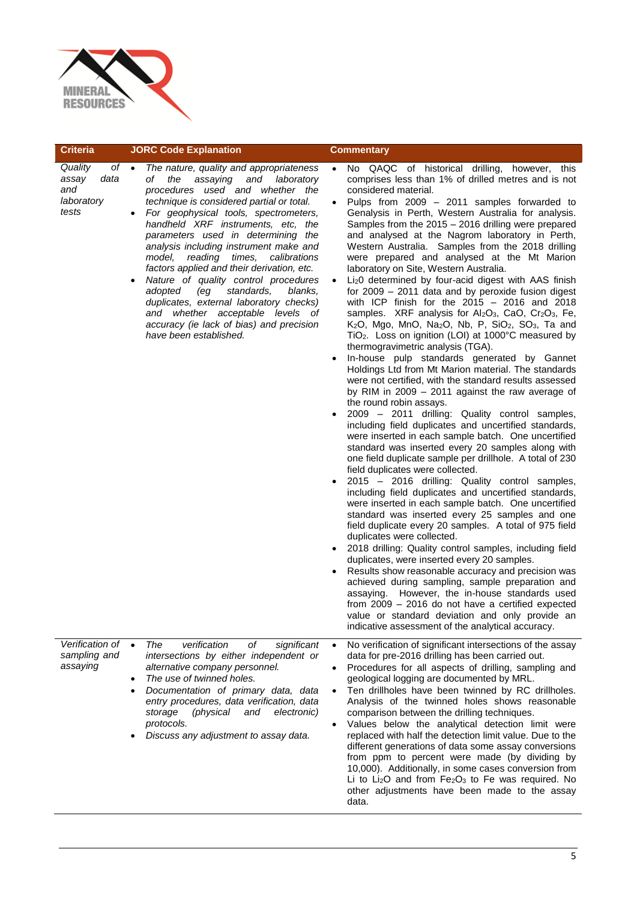

| <b>Criteria</b>                                                        | <b>JORC Code Explanation</b>                                                                                                                                                                                                                                                                                                                                                                                                                                                                                                                                                                                                                                                     | <b>Commentary</b>                                                                                                                                                                                                                                                                                                                                                                                                                                                                                                                                                                                                                                                                                                                                                                                                                                                                                                                                                                                                                                                                                                                                                                                                                                                                                                                                                                                                                                                                                                                                                                                                                                                                                                                                                                                                                                                                                                                                                                                                                                                                                                                                                                                                                                                                   |
|------------------------------------------------------------------------|----------------------------------------------------------------------------------------------------------------------------------------------------------------------------------------------------------------------------------------------------------------------------------------------------------------------------------------------------------------------------------------------------------------------------------------------------------------------------------------------------------------------------------------------------------------------------------------------------------------------------------------------------------------------------------|-------------------------------------------------------------------------------------------------------------------------------------------------------------------------------------------------------------------------------------------------------------------------------------------------------------------------------------------------------------------------------------------------------------------------------------------------------------------------------------------------------------------------------------------------------------------------------------------------------------------------------------------------------------------------------------------------------------------------------------------------------------------------------------------------------------------------------------------------------------------------------------------------------------------------------------------------------------------------------------------------------------------------------------------------------------------------------------------------------------------------------------------------------------------------------------------------------------------------------------------------------------------------------------------------------------------------------------------------------------------------------------------------------------------------------------------------------------------------------------------------------------------------------------------------------------------------------------------------------------------------------------------------------------------------------------------------------------------------------------------------------------------------------------------------------------------------------------------------------------------------------------------------------------------------------------------------------------------------------------------------------------------------------------------------------------------------------------------------------------------------------------------------------------------------------------------------------------------------------------------------------------------------------------|
| Quality<br>$of \bullet$<br>assay<br>data<br>and<br>laboratory<br>tests | The nature, quality and appropriateness<br>of<br>the<br>assaying and<br>laboratory<br>procedures used and whether the<br>technique is considered partial or total.<br>For geophysical tools, spectrometers,<br>handheld XRF instruments, etc, the<br>parameters used in determining the<br>analysis including instrument make and<br>model,<br>reading times,<br>calibrations<br>factors applied and their derivation, etc.<br>Nature of quality control procedures<br>$\bullet$<br>(eg<br>standards,<br>adopted<br>blanks,<br>duplicates, external laboratory checks)<br>and whether acceptable levels of<br>accuracy (ie lack of bias) and precision<br>have been established. | No QAQC of historical drilling, however, this<br>$\bullet$<br>comprises less than 1% of drilled metres and is not<br>considered material.<br>Pulps from 2009 - 2011 samples forwarded to<br>$\bullet$<br>Genalysis in Perth, Western Australia for analysis.<br>Samples from the 2015 - 2016 drilling were prepared<br>and analysed at the Nagrom laboratory in Perth,<br>Western Australia. Samples from the 2018 drilling<br>were prepared and analysed at the Mt Marion<br>laboratory on Site, Western Australia.<br>Li <sub>2</sub> 0 determined by four-acid digest with AAS finish<br>for $2009 - 2011$ data and by peroxide fusion digest<br>with ICP finish for the $2015 - 2016$ and $2018$<br>samples. XRF analysis for Al2O3, CaO, Cr2O3, Fe,<br>$K_2O$ , Mgo, MnO, Na <sub>2</sub> O, Nb, P, SiO <sub>2</sub> , SO <sub>3</sub> , Ta and<br>TiO <sub>2</sub> . Loss on ignition (LOI) at 1000°C measured by<br>thermogravimetric analysis (TGA).<br>In-house pulp standards generated by Gannet<br>Holdings Ltd from Mt Marion material. The standards<br>were not certified, with the standard results assessed<br>by RIM in 2009 $-$ 2011 against the raw average of<br>the round robin assays.<br>2009 - 2011 drilling: Quality control samples,<br>including field duplicates and uncertified standards,<br>were inserted in each sample batch. One uncertified<br>standard was inserted every 20 samples along with<br>one field duplicate sample per drillhole. A total of 230<br>field duplicates were collected.<br>2015 - 2016 drilling: Quality control samples,<br>including field duplicates and uncertified standards,<br>were inserted in each sample batch. One uncertified<br>standard was inserted every 25 samples and one<br>field duplicate every 20 samples. A total of 975 field<br>duplicates were collected.<br>2018 drilling: Quality control samples, including field<br>duplicates, were inserted every 20 samples.<br>Results show reasonable accuracy and precision was<br>achieved during sampling, sample preparation and<br>assaying. However, the in-house standards used<br>from 2009 - 2016 do not have a certified expected<br>value or standard deviation and only provide an<br>indicative assessment of the analytical accuracy. |
| Verification of •<br>sampling and<br>assaying                          | The<br>verification<br>оf<br>significant<br>intersections by either independent or<br>alternative company personnel.<br>The use of twinned holes.<br>٠<br>Documentation of primary data, data<br>$\bullet$<br>entry procedures, data verification, data<br>storage<br>(physical<br>and<br>electronic)<br>protocols.<br>Discuss any adjustment to assay data.                                                                                                                                                                                                                                                                                                                     | No verification of significant intersections of the assay<br>data for pre-2016 drilling has been carried out.<br>Procedures for all aspects of drilling, sampling and<br>$\bullet$<br>geological logging are documented by MRL.<br>Ten drillholes have been twinned by RC drillholes.<br>$\bullet$<br>Analysis of the twinned holes shows reasonable<br>comparison between the drilling techniques.<br>Values below the analytical detection limit were<br>replaced with half the detection limit value. Due to the<br>different generations of data some assay conversions<br>from ppm to percent were made (by dividing by<br>10,000). Additionally, in some cases conversion from<br>Li to Li <sub>2</sub> O and from Fe <sub>2</sub> O <sub>3</sub> to Fe was required. No<br>other adjustments have been made to the assay<br>data.                                                                                                                                                                                                                                                                                                                                                                                                                                                                                                                                                                                                                                                                                                                                                                                                                                                                                                                                                                                                                                                                                                                                                                                                                                                                                                                                                                                                                                            |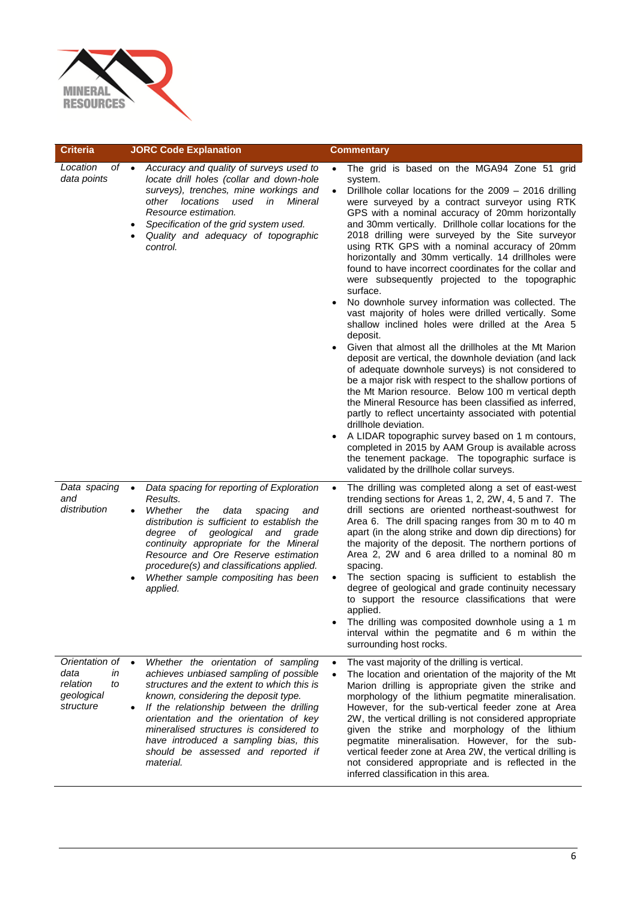

| <b>Criteria</b>                                                             | <b>JORC Code Explanation</b>                                                                                                                                                                                                                                                                                                                                                                                  | <b>Commentary</b>                                                                                                                                                                                                                                                                                                                                                                                                                                                                                                                                                                                                                                                                                                                                                                                                                                                                                                                                                                                                                                                                                                                                                                                                                                                                                                                                                                                                                               |
|-----------------------------------------------------------------------------|---------------------------------------------------------------------------------------------------------------------------------------------------------------------------------------------------------------------------------------------------------------------------------------------------------------------------------------------------------------------------------------------------------------|-------------------------------------------------------------------------------------------------------------------------------------------------------------------------------------------------------------------------------------------------------------------------------------------------------------------------------------------------------------------------------------------------------------------------------------------------------------------------------------------------------------------------------------------------------------------------------------------------------------------------------------------------------------------------------------------------------------------------------------------------------------------------------------------------------------------------------------------------------------------------------------------------------------------------------------------------------------------------------------------------------------------------------------------------------------------------------------------------------------------------------------------------------------------------------------------------------------------------------------------------------------------------------------------------------------------------------------------------------------------------------------------------------------------------------------------------|
| Location<br>оf<br>data points                                               | Accuracy and quality of surveys used to<br>$\bullet$<br>locate drill holes (collar and down-hole<br>surveys), trenches, mine workings and<br>other<br>locations<br>used<br>in<br>Mineral<br>Resource estimation.<br>Specification of the grid system used.<br>Quality and adequacy of topographic<br>control.                                                                                                 | The grid is based on the MGA94 Zone 51 grid<br>$\bullet$<br>system.<br>Drillhole collar locations for the 2009 - 2016 drilling<br>$\bullet$<br>were surveyed by a contract surveyor using RTK<br>GPS with a nominal accuracy of 20mm horizontally<br>and 30mm vertically. Drillhole collar locations for the<br>2018 drilling were surveyed by the Site surveyor<br>using RTK GPS with a nominal accuracy of 20mm<br>horizontally and 30mm vertically. 14 drillholes were<br>found to have incorrect coordinates for the collar and<br>were subsequently projected to the topographic<br>surface.<br>No downhole survey information was collected. The<br>vast majority of holes were drilled vertically. Some<br>shallow inclined holes were drilled at the Area 5<br>deposit.<br>Given that almost all the drillholes at the Mt Marion<br>$\bullet$<br>deposit are vertical, the downhole deviation (and lack<br>of adequate downhole surveys) is not considered to<br>be a major risk with respect to the shallow portions of<br>the Mt Marion resource. Below 100 m vertical depth<br>the Mineral Resource has been classified as inferred,<br>partly to reflect uncertainty associated with potential<br>drillhole deviation.<br>A LIDAR topographic survey based on 1 m contours,<br>completed in 2015 by AAM Group is available across<br>the tenement package. The topographic surface is<br>validated by the drillhole collar surveys. |
| Data spacing<br>and<br>distribution                                         | Data spacing for reporting of Exploration<br>$\bullet$<br>Results.<br>Whether<br>the<br>data<br>spacing<br>and<br>$\bullet$<br>distribution is sufficient to establish the<br>degree<br>of geological<br>and<br>grade<br>continuity appropriate for the Mineral<br>Resource and Ore Reserve estimation<br>procedure(s) and classifications applied.<br>Whether sample compositing has been<br>applied.        | The drilling was completed along a set of east-west<br>$\bullet$<br>trending sections for Areas 1, 2, 2W, 4, 5 and 7. The<br>drill sections are oriented northeast-southwest for<br>Area 6. The drill spacing ranges from 30 m to 40 m<br>apart (in the along strike and down dip directions) for<br>the majority of the deposit. The northern portions of<br>Area 2, 2W and 6 area drilled to a nominal 80 m<br>spacing.<br>The section spacing is sufficient to establish the<br>degree of geological and grade continuity necessary<br>to support the resource classifications that were<br>applied.<br>The drilling was composited downhole using a 1 m<br>interval within the pegmatite and 6 m within the<br>surrounding host rocks.                                                                                                                                                                                                                                                                                                                                                                                                                                                                                                                                                                                                                                                                                                      |
| Orientation of •<br>data<br>in<br>relation<br>to<br>geological<br>structure | Whether the orientation of sampling<br>achieves unbiased sampling of possible<br>structures and the extent to which this is<br>known, considering the deposit type.<br>If the relationship between the drilling<br>$\bullet$<br>orientation and the orientation of key<br>mineralised structures is considered to<br>have introduced a sampling bias, this<br>should be assessed and reported if<br>material. | The vast majority of the drilling is vertical.<br>$\bullet$<br>The location and orientation of the majority of the Mt<br>Marion drilling is appropriate given the strike and<br>morphology of the lithium pegmatite mineralisation.<br>However, for the sub-vertical feeder zone at Area<br>2W, the vertical drilling is not considered appropriate<br>given the strike and morphology of the lithium<br>pegmatite mineralisation. However, for the sub-<br>vertical feeder zone at Area 2W, the vertical drilling is<br>not considered appropriate and is reflected in the<br>inferred classification in this area.                                                                                                                                                                                                                                                                                                                                                                                                                                                                                                                                                                                                                                                                                                                                                                                                                            |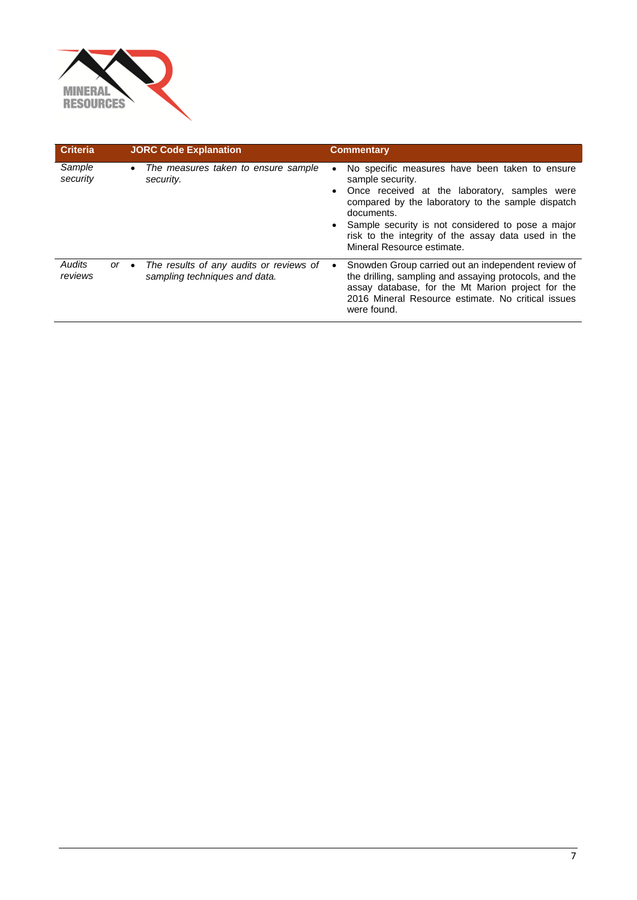

| <b>Criteria</b>    | <b>JORC Code Explanation</b>                                                             | <b>Commentary</b>                                                                                                                                                                                                                                                                                                                                    |
|--------------------|------------------------------------------------------------------------------------------|------------------------------------------------------------------------------------------------------------------------------------------------------------------------------------------------------------------------------------------------------------------------------------------------------------------------------------------------------|
| Sample<br>security | The measures taken to ensure sample<br>$\bullet$<br>security.                            | No specific measures have been taken to ensure<br>٠<br>sample security.<br>Once received at the laboratory, samples were<br>$\bullet$<br>compared by the laboratory to the sample dispatch<br>documents.<br>• Sample security is not considered to pose a major<br>risk to the integrity of the assay data used in the<br>Mineral Resource estimate. |
| Audits<br>reviews  | The results of any audits or reviews of<br>$or \bullet$<br>sampling techniques and data. | Snowden Group carried out an independent review of<br>$\bullet$<br>the drilling, sampling and assaying protocols, and the<br>assay database, for the Mt Marion project for the<br>2016 Mineral Resource estimate. No critical issues<br>were found.                                                                                                  |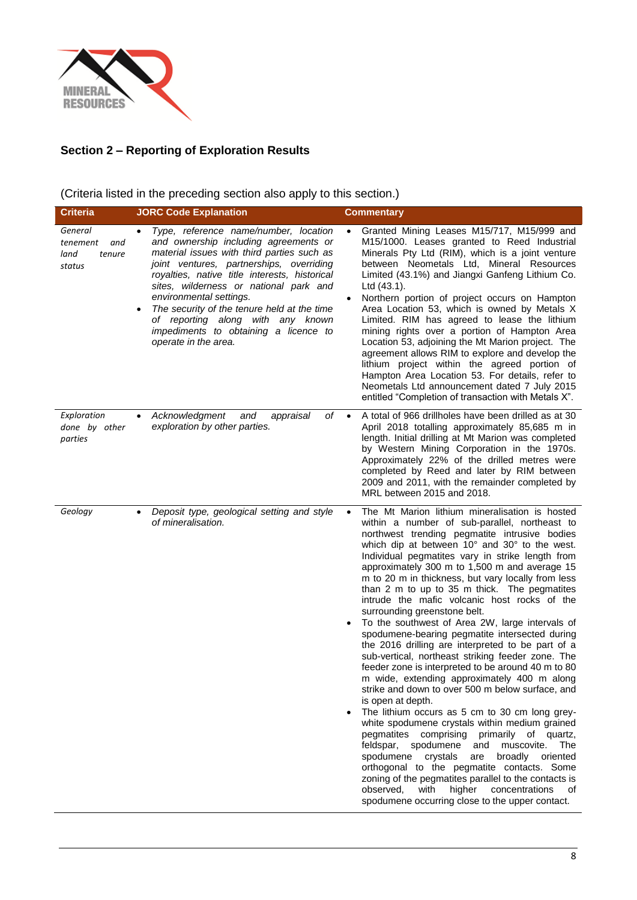

# **Section 2 – Reporting of Exploration Results**

(Criteria listed in the preceding section also apply to this section.)

| <b>Criteria</b>                                        | <b>JORC Code Explanation</b>                                                                                                                                                                                                                                                                                                                                                                                                                        | <b>Commentary</b>                                                                                                                                                                                                                                                                                                                                                                                                                                                                                                                                                                                                                                                                                                                                                                                                                                                                                                                                                                                                                                                                                                                                                                                                                                                                                                                                                                     |
|--------------------------------------------------------|-----------------------------------------------------------------------------------------------------------------------------------------------------------------------------------------------------------------------------------------------------------------------------------------------------------------------------------------------------------------------------------------------------------------------------------------------------|---------------------------------------------------------------------------------------------------------------------------------------------------------------------------------------------------------------------------------------------------------------------------------------------------------------------------------------------------------------------------------------------------------------------------------------------------------------------------------------------------------------------------------------------------------------------------------------------------------------------------------------------------------------------------------------------------------------------------------------------------------------------------------------------------------------------------------------------------------------------------------------------------------------------------------------------------------------------------------------------------------------------------------------------------------------------------------------------------------------------------------------------------------------------------------------------------------------------------------------------------------------------------------------------------------------------------------------------------------------------------------------|
| General<br>and<br>tenement<br>land<br>tenure<br>status | Type, reference name/number, location<br>and ownership including agreements or<br>material issues with third parties such as<br>joint ventures, partnerships, overriding<br>royalties, native title interests, historical<br>sites, wilderness or national park and<br>environmental settings.<br>The security of the tenure held at the time<br>of reporting along with any known<br>impediments to obtaining a licence to<br>operate in the area. | Granted Mining Leases M15/717, M15/999 and<br>$\bullet$<br>M15/1000. Leases granted to Reed Industrial<br>Minerals Pty Ltd (RIM), which is a joint venture<br>between Neometals Ltd, Mineral Resources<br>Limited (43.1%) and Jiangxi Ganfeng Lithium Co.<br>Ltd $(43.1)$ .<br>Northern portion of project occurs on Hampton<br>$\bullet$<br>Area Location 53, which is owned by Metals X<br>Limited. RIM has agreed to lease the lithium<br>mining rights over a portion of Hampton Area<br>Location 53, adjoining the Mt Marion project. The<br>agreement allows RIM to explore and develop the<br>lithium project within the agreed portion of<br>Hampton Area Location 53. For details, refer to<br>Neometals Ltd announcement dated 7 July 2015<br>entitled "Completion of transaction with Metals X".                                                                                                                                                                                                                                                                                                                                                                                                                                                                                                                                                                           |
| Exploration<br>done by other<br>parties                | of<br>Acknowledgment<br>and<br>appraisal<br>$\bullet$<br>exploration by other parties.                                                                                                                                                                                                                                                                                                                                                              | A total of 966 drillholes have been drilled as at 30<br>$\bullet$<br>April 2018 totalling approximately 85,685 m in<br>length. Initial drilling at Mt Marion was completed<br>by Western Mining Corporation in the 1970s.<br>Approximately 22% of the drilled metres were<br>completed by Reed and later by RIM between<br>2009 and 2011, with the remainder completed by<br>MRL between 2015 and 2018.                                                                                                                                                                                                                                                                                                                                                                                                                                                                                                                                                                                                                                                                                                                                                                                                                                                                                                                                                                               |
| Geology                                                | Deposit type, geological setting and style<br>$\bullet$<br>of mineralisation.                                                                                                                                                                                                                                                                                                                                                                       | The Mt Marion lithium mineralisation is hosted<br>$\bullet$<br>within a number of sub-parallel, northeast to<br>northwest trending pegmatite intrusive bodies<br>which dip at between 10° and 30° to the west.<br>Individual pegmatites vary in strike length from<br>approximately 300 m to 1,500 m and average 15<br>m to 20 m in thickness, but vary locally from less<br>than 2 m to up to 35 m thick. The pegmatites<br>intrude the mafic volcanic host rocks of the<br>surrounding greenstone belt.<br>To the southwest of Area 2W, large intervals of<br>spodumene-bearing pegmatite intersected during<br>the 2016 drilling are interpreted to be part of a<br>sub-vertical, northeast striking feeder zone. The<br>feeder zone is interpreted to be around 40 m to 80<br>m wide, extending approximately 400 m along<br>strike and down to over 500 m below surface, and<br>is open at depth.<br>The lithium occurs as 5 cm to 30 cm long grey-<br>white spodumene crystals within medium grained<br>pegmatites comprising primarily of quartz,<br>spodumene<br>feldspar,<br>and<br>muscovite.<br>The<br>spodumene<br>crystals<br>broadly<br>oriented<br>are<br>orthogonal to the pegmatite contacts. Some<br>zoning of the pegmatites parallel to the contacts is<br>with<br>higher<br>observed,<br>concentrations<br>οf<br>spodumene occurring close to the upper contact. |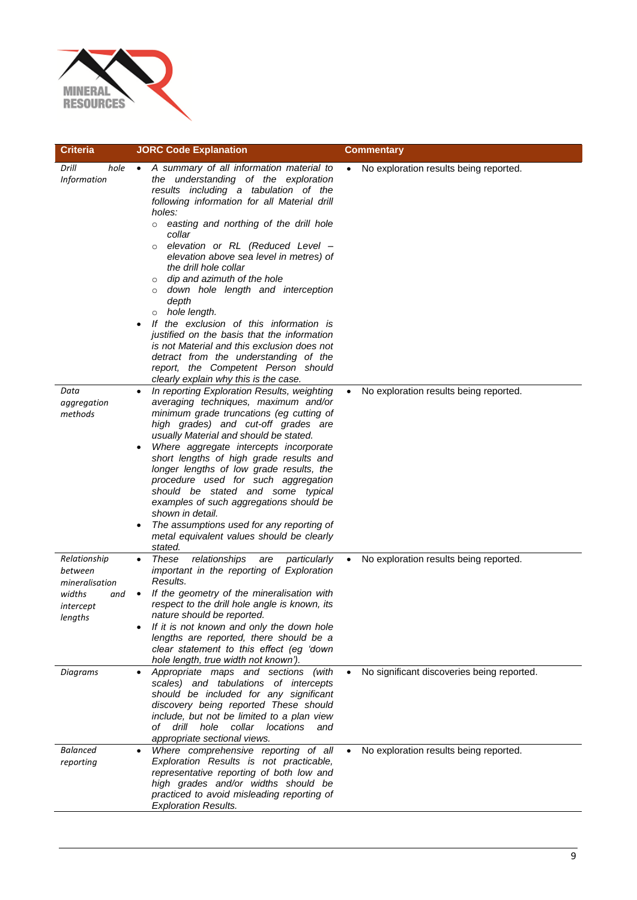

| <b>Criteria</b>                                                                    | <b>JORC Code Explanation</b>                                                                                                                                                                                                                                                                                                                                                                                                                                                                                                                                                                                                                                                                                                   | <b>Commentary</b>                                       |
|------------------------------------------------------------------------------------|--------------------------------------------------------------------------------------------------------------------------------------------------------------------------------------------------------------------------------------------------------------------------------------------------------------------------------------------------------------------------------------------------------------------------------------------------------------------------------------------------------------------------------------------------------------------------------------------------------------------------------------------------------------------------------------------------------------------------------|---------------------------------------------------------|
| Drill<br>hole<br><b>Information</b>                                                | A summary of all information material to<br>$\bullet$<br>the understanding of the exploration<br>results including a tabulation of the<br>following information for all Material drill<br>holes:<br>easting and northing of the drill hole<br>$\circ$<br>collar<br>elevation or RL (Reduced Level –<br>$\circ$<br>elevation above sea level in metres) of<br>the drill hole collar<br>dip and azimuth of the hole<br>$\circ$<br>down hole length and interception<br>depth<br>hole length.<br>$\circ$<br>If the exclusion of this information is<br>justified on the basis that the information<br>is not Material and this exclusion does not<br>detract from the understanding of the<br>report, the Competent Person should | No exploration results being reported.<br>$\bullet$     |
| Data<br>aggregation<br>methods                                                     | clearly explain why this is the case.<br>In reporting Exploration Results, weighting<br>$\bullet$<br>averaging techniques, maximum and/or<br>minimum grade truncations (eg cutting of<br>high grades) and cut-off grades are<br>usually Material and should be stated.<br>Where aggregate intercepts incorporate<br>short lengths of high grade results and<br>longer lengths of low grade results, the<br>procedure used for such aggregation<br>should be stated and some typical<br>examples of such aggregations should be<br>shown in detail.<br>The assumptions used for any reporting of<br>metal equivalent values should be clearly<br>stated.                                                                        | No exploration results being reported.                  |
| Relationship<br>between<br>mineralisation<br>widths<br>and<br>intercept<br>lengths | These<br>relationships<br>are<br>particularly<br>$\bullet$<br>important in the reporting of Exploration<br>Results.<br>If the geometry of the mineralisation with<br>respect to the drill hole angle is known, its<br>nature should be reported.<br>If it is not known and only the down hole<br>lengths are reported, there should be a<br>clear statement to this effect (eg 'down<br>hole length, true width not known').                                                                                                                                                                                                                                                                                                   | No exploration results being reported.<br>$\bullet$     |
| <b>Diagrams</b>                                                                    | Appropriate maps and sections (with<br>scales) and tabulations of intercepts<br>should be included for any significant<br>discovery being reported These should<br>include, but not be limited to a plan view<br>of<br>drill<br>hole<br>collar<br>locations<br>and<br>appropriate sectional views.                                                                                                                                                                                                                                                                                                                                                                                                                             | No significant discoveries being reported.<br>$\bullet$ |
| <b>Balanced</b><br>reporting                                                       | Where comprehensive reporting of all<br>Exploration Results is not practicable,<br>representative reporting of both low and<br>high grades and/or widths should be<br>practiced to avoid misleading reporting of<br><b>Exploration Results.</b>                                                                                                                                                                                                                                                                                                                                                                                                                                                                                | No exploration results being reported.<br>$\bullet$     |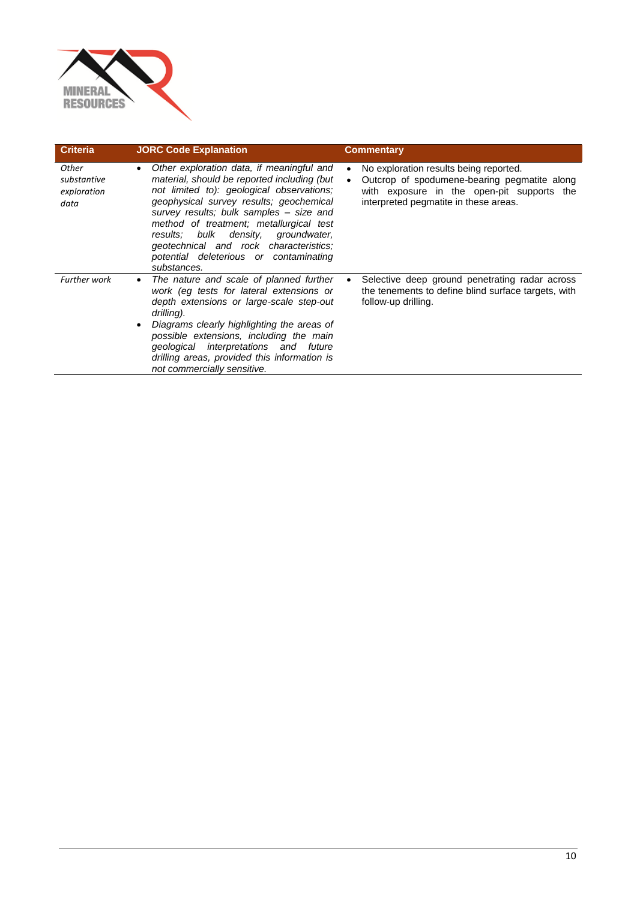

| <b>Criteria</b>                             | <b>JORC Code Explanation</b>                                                                                                                                                                                                                                                                                                                                                                                                  | <b>Commentary</b>                                                                                                                                                             |
|---------------------------------------------|-------------------------------------------------------------------------------------------------------------------------------------------------------------------------------------------------------------------------------------------------------------------------------------------------------------------------------------------------------------------------------------------------------------------------------|-------------------------------------------------------------------------------------------------------------------------------------------------------------------------------|
| Other<br>substantive<br>exploration<br>data | Other exploration data, if meaningful and<br>$\bullet$<br>material, should be reported including (but<br>not limited to): geological observations;<br>geophysical survey results; geochemical<br>survey results; bulk samples - size and<br>method of treatment; metallurgical test<br>results; bulk density, groundwater,<br>geotechnical and rock characteristics;<br>potential deleterious or contaminating<br>substances. | No exploration results being reported.<br>Outcrop of spodumene-bearing pegmatite along<br>with exposure in the open-pit supports the<br>interpreted pegmatite in these areas. |
| <b>Further work</b>                         | The nature and scale of planned further<br>$\bullet$<br>work (eg tests for lateral extensions or<br>depth extensions or large-scale step-out<br>drilling).<br>Diagrams clearly highlighting the areas of<br>possible extensions, including the main<br>geological interpretations and future<br>drilling areas, provided this information is<br>not commercially sensitive.                                                   | Selective deep ground penetrating radar across<br>$\bullet$<br>the tenements to define blind surface targets, with<br>follow-up drilling.                                     |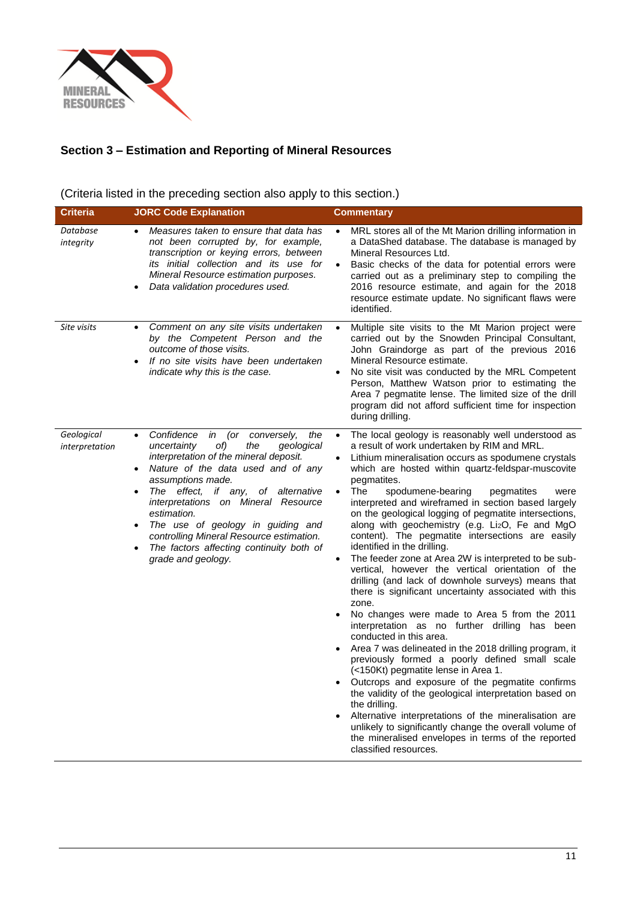

## **Section 3 – Estimation and Reporting of Mineral Resources**

(Criteria listed in the preceding section also apply to this section.)

| Criteria                     | <b>JORC Code Explanation</b>                                                                                                                                                                                                                                                                                                                                                                                                                                                                                  | Commentary                                                                                                                                                                                                                                                                                                                                                                                                                                                                                                                                                                                                                                                                                                                                                                                                                                                                                                                                                                                                                                                                                                                                                                                                                                                                                                                                                                                                                                                |
|------------------------------|---------------------------------------------------------------------------------------------------------------------------------------------------------------------------------------------------------------------------------------------------------------------------------------------------------------------------------------------------------------------------------------------------------------------------------------------------------------------------------------------------------------|-----------------------------------------------------------------------------------------------------------------------------------------------------------------------------------------------------------------------------------------------------------------------------------------------------------------------------------------------------------------------------------------------------------------------------------------------------------------------------------------------------------------------------------------------------------------------------------------------------------------------------------------------------------------------------------------------------------------------------------------------------------------------------------------------------------------------------------------------------------------------------------------------------------------------------------------------------------------------------------------------------------------------------------------------------------------------------------------------------------------------------------------------------------------------------------------------------------------------------------------------------------------------------------------------------------------------------------------------------------------------------------------------------------------------------------------------------------|
| Database<br>integrity        | Measures taken to ensure that data has<br>not been corrupted by, for example,<br>transcription or keying errors, between<br>its initial collection and its use for<br>Mineral Resource estimation purposes.<br>Data validation procedures used.<br>$\bullet$                                                                                                                                                                                                                                                  | MRL stores all of the Mt Marion drilling information in<br>a DataShed database. The database is managed by<br>Mineral Resources Ltd.<br>Basic checks of the data for potential errors were<br>$\bullet$<br>carried out as a preliminary step to compiling the<br>2016 resource estimate, and again for the 2018<br>resource estimate update. No significant flaws were<br>identified.                                                                                                                                                                                                                                                                                                                                                                                                                                                                                                                                                                                                                                                                                                                                                                                                                                                                                                                                                                                                                                                                     |
| Site visits                  | Comment on any site visits undertaken<br>$\bullet$<br>by the Competent Person and the<br>outcome of those visits.<br>If no site visits have been undertaken<br>$\bullet$<br>indicate why this is the case.                                                                                                                                                                                                                                                                                                    | Multiple site visits to the Mt Marion project were<br>carried out by the Snowden Principal Consultant,<br>John Graindorge as part of the previous 2016<br>Mineral Resource estimate.<br>No site visit was conducted by the MRL Competent<br>Person, Matthew Watson prior to estimating the<br>Area 7 pegmatite lense. The limited size of the drill<br>program did not afford sufficient time for inspection<br>during drilling.                                                                                                                                                                                                                                                                                                                                                                                                                                                                                                                                                                                                                                                                                                                                                                                                                                                                                                                                                                                                                          |
| Geological<br>interpretation | Confidence<br>in<br>(or<br>conversely,<br>the<br>$\bullet$<br>of)<br>uncertainty<br>the<br>geological<br>interpretation of the mineral deposit.<br>Nature of the data used and of any<br>$\bullet$<br>assumptions made.<br>The effect, if any, of alternative<br>$\bullet$<br>interpretations on Mineral Resource<br>estimation.<br>The use of geology in guiding and<br>$\bullet$<br>controlling Mineral Resource estimation.<br>The factors affecting continuity both of<br>$\bullet$<br>grade and geology. | The local geology is reasonably well understood as<br>$\bullet$<br>a result of work undertaken by RIM and MRL.<br>Lithium mineralisation occurs as spodumene crystals<br>$\bullet$<br>which are hosted within quartz-feldspar-muscovite<br>pegmatites.<br>The<br>spodumene-bearing<br>pegmatites<br>were<br>$\bullet$<br>interpreted and wireframed in section based largely<br>on the geological logging of pegmatite intersections,<br>along with geochemistry (e.g. Li <sub>2</sub> O, Fe and MgO<br>content). The pegmatite intersections are easily<br>identified in the drilling.<br>The feeder zone at Area 2W is interpreted to be sub-<br>$\bullet$<br>vertical, however the vertical orientation of the<br>drilling (and lack of downhole surveys) means that<br>there is significant uncertainty associated with this<br>zone.<br>No changes were made to Area 5 from the 2011<br>interpretation as no further drilling has been<br>conducted in this area.<br>Area 7 was delineated in the 2018 drilling program, it<br>previously formed a poorly defined small scale<br>(<150Kt) pegmatite lense in Area 1.<br>Outcrops and exposure of the pegmatite confirms<br>the validity of the geological interpretation based on<br>the drilling.<br>Alternative interpretations of the mineralisation are<br>unlikely to significantly change the overall volume of<br>the mineralised envelopes in terms of the reported<br>classified resources. |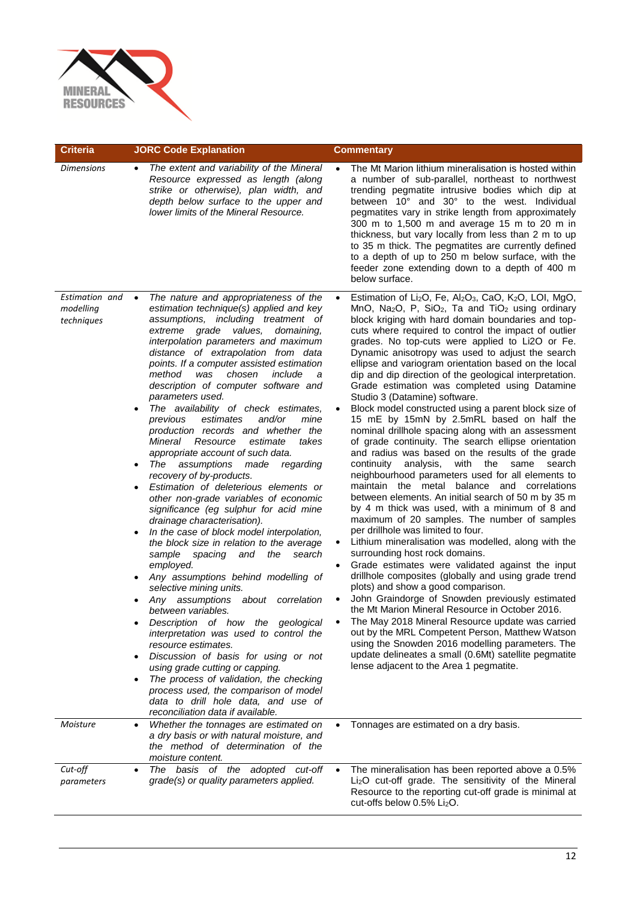

| <b>Criteria</b>                                  | <b>JORC Code Explanation</b>                                                                                                                                                                                                                                                                                                                                                                                                                                                                                                                                                                                                                                                                                                                                                                                                                                                                                                                                                                                                                                                                                                                                                                                                                                                                                                                                                                                                                                                                     | <b>Commentary</b>                                                                                                                                                                                                                                                                                                                                                                                                                                                                                                                                                                                                                                                                                                                                                                                                                                                                                                                                                                                                                                                                                                                                                                                                                                                                                                                                                                                                                                                                                                                                                                                                                                                                                                                                                                                                                                                                                       |
|--------------------------------------------------|--------------------------------------------------------------------------------------------------------------------------------------------------------------------------------------------------------------------------------------------------------------------------------------------------------------------------------------------------------------------------------------------------------------------------------------------------------------------------------------------------------------------------------------------------------------------------------------------------------------------------------------------------------------------------------------------------------------------------------------------------------------------------------------------------------------------------------------------------------------------------------------------------------------------------------------------------------------------------------------------------------------------------------------------------------------------------------------------------------------------------------------------------------------------------------------------------------------------------------------------------------------------------------------------------------------------------------------------------------------------------------------------------------------------------------------------------------------------------------------------------|---------------------------------------------------------------------------------------------------------------------------------------------------------------------------------------------------------------------------------------------------------------------------------------------------------------------------------------------------------------------------------------------------------------------------------------------------------------------------------------------------------------------------------------------------------------------------------------------------------------------------------------------------------------------------------------------------------------------------------------------------------------------------------------------------------------------------------------------------------------------------------------------------------------------------------------------------------------------------------------------------------------------------------------------------------------------------------------------------------------------------------------------------------------------------------------------------------------------------------------------------------------------------------------------------------------------------------------------------------------------------------------------------------------------------------------------------------------------------------------------------------------------------------------------------------------------------------------------------------------------------------------------------------------------------------------------------------------------------------------------------------------------------------------------------------------------------------------------------------------------------------------------------------|
| Dimensions                                       | The extent and variability of the Mineral<br>Resource expressed as length (along<br>strike or otherwise), plan width, and<br>depth below surface to the upper and<br>lower limits of the Mineral Resource.                                                                                                                                                                                                                                                                                                                                                                                                                                                                                                                                                                                                                                                                                                                                                                                                                                                                                                                                                                                                                                                                                                                                                                                                                                                                                       | The Mt Marion lithium mineralisation is hosted within<br>a number of sub-parallel, northeast to northwest<br>trending pegmatite intrusive bodies which dip at<br>between 10° and 30° to the west. Individual<br>pegmatites vary in strike length from approximately<br>300 m to 1,500 m and average 15 m to 20 m in<br>thickness, but vary locally from less than 2 m to up<br>to 35 m thick. The pegmatites are currently defined<br>to a depth of up to 250 m below surface, with the<br>feeder zone extending down to a depth of 400 m<br>below surface.                                                                                                                                                                                                                                                                                                                                                                                                                                                                                                                                                                                                                                                                                                                                                                                                                                                                                                                                                                                                                                                                                                                                                                                                                                                                                                                                             |
| <b>Estimation</b> and<br>modelling<br>techniques | The nature and appropriateness of the<br>$\bullet$<br>estimation technique(s) applied and key<br>assumptions, including treatment of<br>extreme grade values,<br>domaining,<br>interpolation parameters and maximum<br>distance of extrapolation from data<br>points. If a computer assisted estimation<br>method<br>chosen<br>include<br>was<br>a<br>description of computer software and<br>parameters used.<br>The availability of check estimates,<br>and/or<br>estimates<br>mine<br>previous<br>production records and whether the<br>Mineral Resource<br>estimate<br>takes<br>appropriate account of such data.<br>The assumptions made<br>regarding<br>$\bullet$<br>recovery of by-products.<br>Estimation of deleterious elements or<br>other non-grade variables of economic<br>significance (eg sulphur for acid mine<br>drainage characterisation).<br>In the case of block model interpolation,<br>the block size in relation to the average<br>sample<br>spacing<br>the<br>search<br>and<br>employed.<br>Any assumptions behind modelling of<br>selective mining units.<br>Any assumptions about correlation<br>between variables.<br>Description of how the geological<br>interpretation was used to control the<br>resource estimates.<br>Discussion of basis for using or not<br>using grade cutting or capping.<br>The process of validation, the checking<br>process used, the comparison of model<br>data to drill hole data, and use of<br>reconciliation data if available. | Estimation of Li <sub>2</sub> O, Fe, Al <sub>2</sub> O <sub>3</sub> , CaO, K <sub>2</sub> O, LOI, MgO,<br>$\bullet$<br>MnO, Na <sub>2</sub> O, P, SiO <sub>2</sub> , Ta and TiO <sub>2</sub> using ordinary<br>block kriging with hard domain boundaries and top-<br>cuts where required to control the impact of outlier<br>grades. No top-cuts were applied to Li2O or Fe.<br>Dynamic anisotropy was used to adjust the search<br>ellipse and variogram orientation based on the local<br>dip and dip direction of the geological interpretation.<br>Grade estimation was completed using Datamine<br>Studio 3 (Datamine) software.<br>Block model constructed using a parent block size of<br>15 mE by 15mN by 2.5mRL based on half the<br>nominal drillhole spacing along with an assessment<br>of grade continuity. The search ellipse orientation<br>and radius was based on the results of the grade<br>continuity<br>analysis,<br>with<br>the<br>same<br>search<br>neighbourhood parameters used for all elements to<br>maintain the metal balance and correlations<br>between elements. An initial search of 50 m by 35 m<br>by 4 m thick was used, with a minimum of 8 and<br>maximum of 20 samples. The number of samples<br>per drillhole was limited to four.<br>Lithium mineralisation was modelled, along with the<br>$\bullet$<br>surrounding host rock domains.<br>Grade estimates were validated against the input<br>drillhole composites (globally and using grade trend<br>plots) and show a good comparison.<br>John Graindorge of Snowden previously estimated<br>the Mt Marion Mineral Resource in October 2016.<br>The May 2018 Mineral Resource update was carried<br>out by the MRL Competent Person, Matthew Watson<br>using the Snowden 2016 modelling parameters. The<br>update delineates a small (0.6Mt) satellite pegmatite<br>lense adjacent to the Area 1 pegmatite. |
| Moisture                                         | Whether the tonnages are estimated on<br>a dry basis or with natural moisture, and<br>the method of determination of the<br>moisture content.                                                                                                                                                                                                                                                                                                                                                                                                                                                                                                                                                                                                                                                                                                                                                                                                                                                                                                                                                                                                                                                                                                                                                                                                                                                                                                                                                    | Tonnages are estimated on a dry basis.                                                                                                                                                                                                                                                                                                                                                                                                                                                                                                                                                                                                                                                                                                                                                                                                                                                                                                                                                                                                                                                                                                                                                                                                                                                                                                                                                                                                                                                                                                                                                                                                                                                                                                                                                                                                                                                                  |
| Cut-off<br>parameters                            | The basis of the adopted cut-off<br>grade(s) or quality parameters applied.                                                                                                                                                                                                                                                                                                                                                                                                                                                                                                                                                                                                                                                                                                                                                                                                                                                                                                                                                                                                                                                                                                                                                                                                                                                                                                                                                                                                                      | The mineralisation has been reported above a 0.5%<br>Li <sub>2</sub> O cut-off grade. The sensitivity of the Mineral<br>Resource to the reporting cut-off grade is minimal at<br>cut-offs below $0.5\%$ Li <sub>2</sub> O.                                                                                                                                                                                                                                                                                                                                                                                                                                                                                                                                                                                                                                                                                                                                                                                                                                                                                                                                                                                                                                                                                                                                                                                                                                                                                                                                                                                                                                                                                                                                                                                                                                                                              |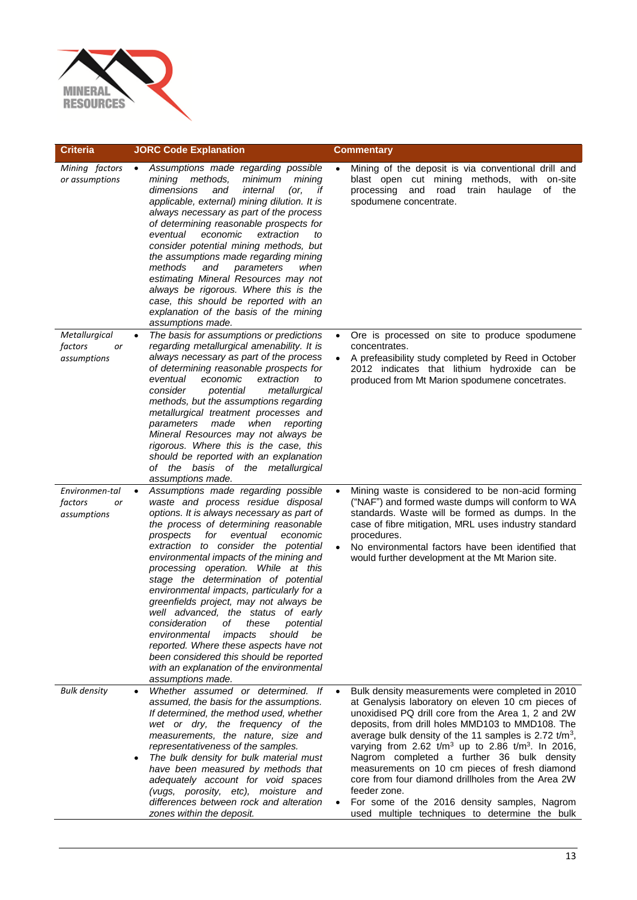

| <b>Criteria</b>                                | <b>JORC Code Explanation</b>                                                                                                                                                                                                                                                                                                                                                                                                                                                                                                                                                                                                                                                                                                                          | <b>Commentary</b>                                                                                                                                                                                                                                                                                                                                                                                                                                                                                                                                                                                                                      |
|------------------------------------------------|-------------------------------------------------------------------------------------------------------------------------------------------------------------------------------------------------------------------------------------------------------------------------------------------------------------------------------------------------------------------------------------------------------------------------------------------------------------------------------------------------------------------------------------------------------------------------------------------------------------------------------------------------------------------------------------------------------------------------------------------------------|----------------------------------------------------------------------------------------------------------------------------------------------------------------------------------------------------------------------------------------------------------------------------------------------------------------------------------------------------------------------------------------------------------------------------------------------------------------------------------------------------------------------------------------------------------------------------------------------------------------------------------------|
| Mining factors<br>or assumptions               | Assumptions made regarding possible<br>$\bullet$<br>mining methods,<br>minimum<br>mining<br>dimensions<br>internal<br>and<br>(or,<br>It<br>applicable, external) mining dilution. It is<br>always necessary as part of the process<br>of determining reasonable prospects for<br>economic<br>extraction<br>eventual<br>to<br>consider potential mining methods, but<br>the assumptions made regarding mining<br>methods<br>and<br>when<br>parameters<br>estimating Mineral Resources may not<br>always be rigorous. Where this is the<br>case, this should be reported with an<br>explanation of the basis of the mining<br>assumptions made.                                                                                                         | Mining of the deposit is via conventional drill and<br>$\bullet$<br>blast open cut mining methods, with on-site<br>processing<br>and<br>road<br>train<br>haulage<br>of<br>the<br>spodumene concentrate.                                                                                                                                                                                                                                                                                                                                                                                                                                |
| Metallurgical<br>factors<br>or<br>assumptions  | The basis for assumptions or predictions<br>$\bullet$<br>regarding metallurgical amenability. It is<br>always necessary as part of the process<br>of determining reasonable prospects for<br>eventual<br>economic<br>extraction<br>to<br>consider<br>potential<br>metallurgical<br>methods, but the assumptions regarding<br>metallurgical treatment processes and<br>parameters<br>made<br>when<br>reporting<br>Mineral Resources may not always be<br>rigorous. Where this is the case, this<br>should be reported with an explanation<br>of the basis of the metallurgical<br>assumptions made.                                                                                                                                                    | Ore is processed on site to produce spodumene<br>$\bullet$<br>concentrates.<br>A prefeasibility study completed by Reed in October<br>$\bullet$<br>2012 indicates that lithium hydroxide can be<br>produced from Mt Marion spodumene concetrates.                                                                                                                                                                                                                                                                                                                                                                                      |
| Environmen-tal<br>factors<br>or<br>assumptions | Assumptions made regarding possible<br>$\bullet$<br>waste and process residue disposal<br>options. It is always necessary as part of<br>the process of determining reasonable<br>for<br>eventual<br>economic<br>prospects<br>extraction to consider the potential<br>environmental impacts of the mining and<br>processing operation. While at this<br>stage the determination of potential<br>environmental impacts, particularly for a<br>greenfields project, may not always be<br>well advanced, the status of early<br>consideration of these potential<br>environmental impacts should be<br>reported. Where these aspects have not<br>been considered this should be reported<br>with an explanation of the environmental<br>assumptions made. | Mining waste is considered to be non-acid forming<br>$\bullet$<br>("NAF") and formed waste dumps will conform to WA<br>standards. Waste will be formed as dumps. In the<br>case of fibre mitigation, MRL uses industry standard<br>procedures.<br>No environmental factors have been identified that<br>$\bullet$<br>would further development at the Mt Marion site.                                                                                                                                                                                                                                                                  |
| <b>Bulk density</b>                            | Whether assumed or determined. If<br>$\bullet$<br>assumed, the basis for the assumptions.<br>If determined, the method used, whether<br>wet or dry, the frequency of the<br>measurements, the nature, size and<br>representativeness of the samples.<br>The bulk density for bulk material must<br>have been measured by methods that<br>adequately account for void spaces<br>(vugs, porosity, etc), moisture and<br>differences between rock and alteration<br>zones within the deposit.                                                                                                                                                                                                                                                            | Bulk density measurements were completed in 2010<br>$\bullet$<br>at Genalysis laboratory on eleven 10 cm pieces of<br>unoxidised PQ drill core from the Area 1, 2 and 2W<br>deposits, from drill holes MMD103 to MMD108. The<br>average bulk density of the 11 samples is 2.72 $t/m3$ ,<br>varying from 2.62 $t/m^3$ up to 2.86 $t/m^3$ . In 2016,<br>Nagrom completed a further 36 bulk density<br>measurements on 10 cm pieces of fresh diamond<br>core from four diamond drillholes from the Area 2W<br>feeder zone.<br>For some of the 2016 density samples, Nagrom<br>$\bullet$<br>used multiple techniques to determine the bulk |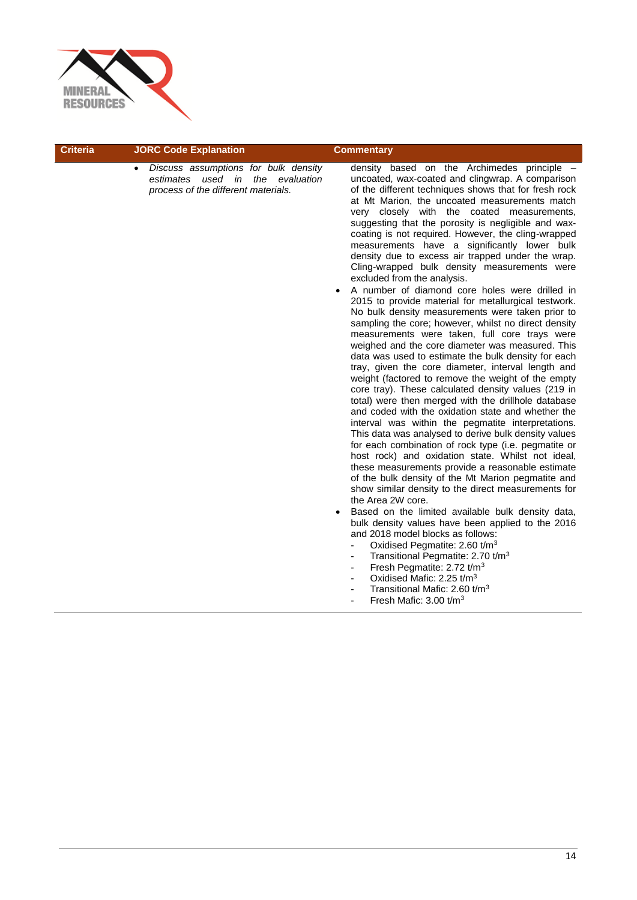

| <b>Criteria</b> | <b>JORC Code Explanation</b>                                                                                    | <b>Commentary</b>                                                                                                                                                                                                                                                                                                                                                                                                                                                                                                                                                                                                                                                                                                                                                                                                                                                                                                                                                                                                                                                                                                                                                                                                                                                                                                                                                                                                                                                                                                                                                                                                                                                                                                                                                                                                                                                                                                                                                                                                                                                                                                                                       |
|-----------------|-----------------------------------------------------------------------------------------------------------------|---------------------------------------------------------------------------------------------------------------------------------------------------------------------------------------------------------------------------------------------------------------------------------------------------------------------------------------------------------------------------------------------------------------------------------------------------------------------------------------------------------------------------------------------------------------------------------------------------------------------------------------------------------------------------------------------------------------------------------------------------------------------------------------------------------------------------------------------------------------------------------------------------------------------------------------------------------------------------------------------------------------------------------------------------------------------------------------------------------------------------------------------------------------------------------------------------------------------------------------------------------------------------------------------------------------------------------------------------------------------------------------------------------------------------------------------------------------------------------------------------------------------------------------------------------------------------------------------------------------------------------------------------------------------------------------------------------------------------------------------------------------------------------------------------------------------------------------------------------------------------------------------------------------------------------------------------------------------------------------------------------------------------------------------------------------------------------------------------------------------------------------------------------|
|                 | Discuss assumptions for bulk density<br>estimates used in the evaluation<br>process of the different materials. | density based on the Archimedes principle -<br>uncoated, wax-coated and clingwrap. A comparison<br>of the different techniques shows that for fresh rock<br>at Mt Marion, the uncoated measurements match<br>very closely with the coated measurements,<br>suggesting that the porosity is negligible and wax-<br>coating is not required. However, the cling-wrapped<br>measurements have a significantly lower bulk<br>density due to excess air trapped under the wrap.<br>Cling-wrapped bulk density measurements were<br>excluded from the analysis.<br>A number of diamond core holes were drilled in<br>2015 to provide material for metallurgical testwork.<br>No bulk density measurements were taken prior to<br>sampling the core; however, whilst no direct density<br>measurements were taken, full core trays were<br>weighed and the core diameter was measured. This<br>data was used to estimate the bulk density for each<br>tray, given the core diameter, interval length and<br>weight (factored to remove the weight of the empty<br>core tray). These calculated density values (219 in<br>total) were then merged with the drillhole database<br>and coded with the oxidation state and whether the<br>interval was within the pegmatite interpretations.<br>This data was analysed to derive bulk density values<br>for each combination of rock type (i.e. pegmatite or<br>host rock) and oxidation state. Whilst not ideal,<br>these measurements provide a reasonable estimate<br>of the bulk density of the Mt Marion pegmatite and<br>show similar density to the direct measurements for<br>the Area 2W core.<br>Based on the limited available bulk density data,<br>bulk density values have been applied to the 2016<br>and 2018 model blocks as follows:<br>Oxidised Pegmatite: 2.60 t/m <sup>3</sup><br>Transitional Pegmatite: 2.70 t/m <sup>3</sup><br>$\overline{\phantom{a}}$<br>Fresh Pegmatite: $2.72$ t/m <sup>3</sup><br>$\overline{\phantom{0}}$<br>Oxidised Mafic: 2.25 t/m <sup>3</sup><br>Transitional Mafic: 2.60 t/m <sup>3</sup><br>Fresh Mafic: $3.00$ t/m <sup>3</sup><br>$\overline{\phantom{0}}$ |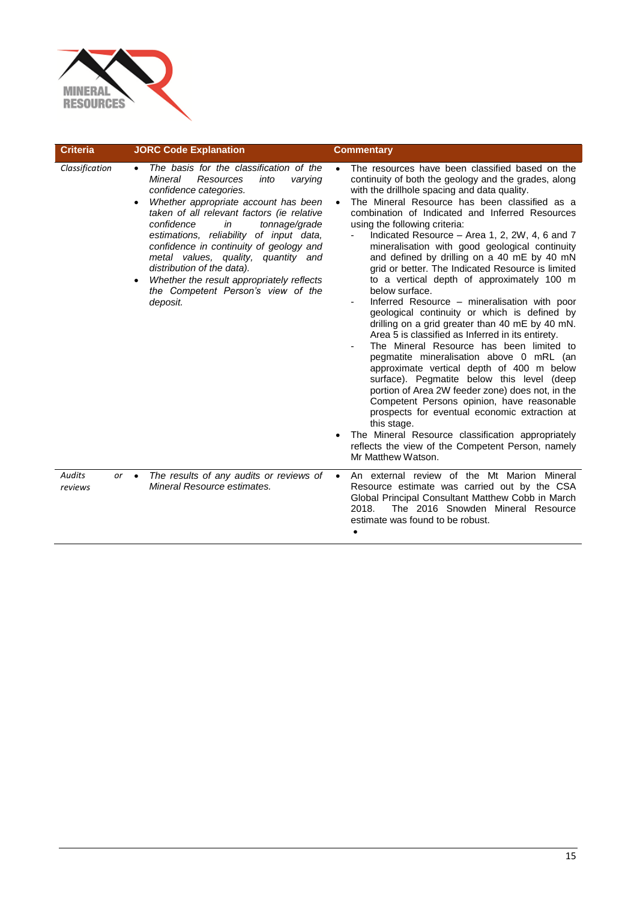

| <b>Criteria</b>                | <b>JORC Code Explanation</b>                                                                                                                                                                                                                                                                                                                                                                                                                                                                                                | <b>Commentary</b>                                                                                                                                                                                                                                                                                                                                                                                                                                                                                                                                                                                                                                                                                                                                                                                                                                                                                                                                                                                                                                                                                                                                                                                                                                                                           |
|--------------------------------|-----------------------------------------------------------------------------------------------------------------------------------------------------------------------------------------------------------------------------------------------------------------------------------------------------------------------------------------------------------------------------------------------------------------------------------------------------------------------------------------------------------------------------|---------------------------------------------------------------------------------------------------------------------------------------------------------------------------------------------------------------------------------------------------------------------------------------------------------------------------------------------------------------------------------------------------------------------------------------------------------------------------------------------------------------------------------------------------------------------------------------------------------------------------------------------------------------------------------------------------------------------------------------------------------------------------------------------------------------------------------------------------------------------------------------------------------------------------------------------------------------------------------------------------------------------------------------------------------------------------------------------------------------------------------------------------------------------------------------------------------------------------------------------------------------------------------------------|
| Classification                 | The basis for the classification of the<br>$\bullet$<br>Mineral<br>Resources<br>into<br>varying<br>confidence categories.<br>Whether appropriate account has been<br>taken of all relevant factors (ie relative<br>confidence<br>tonnage/grade<br>in<br>estimations, reliability of input data,<br>confidence in continuity of geology and<br>metal values, quality, quantity and<br>distribution of the data).<br>Whether the result appropriately reflects<br>$\bullet$<br>the Competent Person's view of the<br>deposit. | The resources have been classified based on the<br>$\bullet$<br>continuity of both the geology and the grades, along<br>with the drillhole spacing and data quality.<br>The Mineral Resource has been classified as a<br>$\bullet$<br>combination of Indicated and Inferred Resources<br>using the following criteria:<br>Indicated Resource - Area 1, 2, 2W, 4, 6 and 7<br>mineralisation with good geological continuity<br>and defined by drilling on a 40 mE by 40 mN<br>grid or better. The Indicated Resource is limited<br>to a vertical depth of approximately 100 m<br>below surface.<br>Inferred Resource - mineralisation with poor<br>geological continuity or which is defined by<br>drilling on a grid greater than 40 mE by 40 mN.<br>Area 5 is classified as Inferred in its entirety.<br>The Mineral Resource has been limited to<br>pegmatite mineralisation above 0 mRL (an<br>approximate vertical depth of 400 m below<br>surface). Pegmatite below this level (deep<br>portion of Area 2W feeder zone) does not, in the<br>Competent Persons opinion, have reasonable<br>prospects for eventual economic extraction at<br>this stage.<br>The Mineral Resource classification appropriately<br>reflects the view of the Competent Person, namely<br>Mr Matthew Watson. |
| <b>Audits</b><br>or<br>reviews | The results of any audits or reviews of<br>$\bullet$<br>Mineral Resource estimates.                                                                                                                                                                                                                                                                                                                                                                                                                                         | An external review of the Mt Marion Mineral<br>$\bullet$<br>Resource estimate was carried out by the CSA<br>Global Principal Consultant Matthew Cobb in March<br>The 2016 Snowden Mineral Resource<br>2018.<br>estimate was found to be robust.                                                                                                                                                                                                                                                                                                                                                                                                                                                                                                                                                                                                                                                                                                                                                                                                                                                                                                                                                                                                                                             |